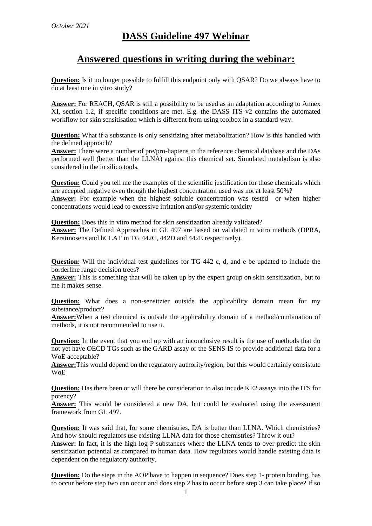# **DASS Guideline 497 Webinar**

## **Answered questions in writing during the webinar:**

**Question:** Is it no longer possible to fulfill this endpoint only with QSAR? Do we always have to do at least one in vitro study?

**Answer:** For REACH, QSAR is still a possibility to be used as an adaptation according to Annex XI, section 1.2, if specific conditions are met. E.g. the DASS ITS v2 contains the automated workflow for skin sensitisation which is different from using toolbox in a standard way.

**Question:** What if a substance is only sensitizing after metabolization? How is this handled with the defined approach?

**Answer:** There were a number of pre/pro-haptens in the reference chemical database and the DAs performed well (better than the LLNA) against this chemical set. Simulated metabolism is also considered in the in silico tools.

**Question:** Could you tell me the examples of the scientific justification for those chemicals which are accepted negative even though the highest concentration used was not at least 50%? **Answer:** For example when the highest soluble concentration was tested or when higher concentrations would lead to excessive irritation and/or systemic toxicity

**Question:** Does this in vitro method for skin sensitization already validated? **Answer:** The Defined Approaches in GL 497 are based on validated in vitro methods (DPRA, Keratinosens and hCLAT in TG 442C, 442D and 442E respectively).

**Question:** Will the individual test guidelines for TG 442 c, d, and e be updated to include the borderline range decision trees?

**Answer:** This is something that will be taken up by the expert group on skin sensitization, but to me it makes sense.

**Question:** What does a non-sensitzier outside the applicability domain mean for my substance/product?

**Answer:**When a test chemical is outside the applicability domain of a method/combination of methods, it is not recommended to use it.

**Question:** In the event that you end up with an inconclusive result is the use of methods that do not yet have OECD TGs such as the GARD assay or the SENS-IS to provide additional data for a WoE acceptable?

**Answer:**This would depend on the regulatory authority/region, but this would certainly consistute WoE

**Question:** Has there been or will there be consideration to also incude KE2 assays into the ITS for potency?

**Answer:** This would be considered a new DA, but could be evaluated using the assessment framework from GL 497.

**Question:** It was said that, for some chemistries, DA is better than LLNA. Which chemistries? And how should regulators use existing LLNA data for those chemistries? Throw it out?

**Answer:** In fact, it is the high log P substances where the LLNA tends to over-predict the skin sensitization potential as compared to human data. How regulators would handle existing data is dependent on the regulatory authority.

**Question:** Do the steps in the AOP have to happen in sequence? Does step 1- protein binding, has to occur before step two can occur and does step 2 has to occur before step 3 can take place? If so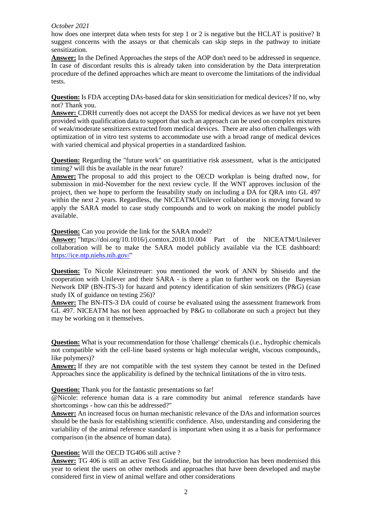#### *October 2021*

how does one interpret data when tests for step 1 or 2 is negative but the HCLAT is positive? It suggest concerns with the assays or that chemicals can skip steps in the pathway to initiate sensitization.

**Answer:** In the Defined Approaches the steps of the AOP don't need to be addressed in sequence. In case of discordant results this is already taken into consideration by the Data interpretation procedure of the defined approaches which are meant to overcome the limitations of the individual tests.

**Question:** Is FDA accepting DAs-based data for skin sensitiziation for medical devices? If no, why not? Thank you.

**Answer:** CDRH currently does not accept the DASS for medical devices as we have not yet been provided with qualification data to support that such an approach can be used on complex mixtures of weak/moderate sensitizers extracted from medical devices. There are also often challenges with optimization of in vitro test systems to accommodate use with a broad range of medical devices with varied chemical and physical properties in a standardized fashion.

**Question:** Regarding the "future work" on quantitiative risk assessment, what is the anticipated timing? will this be available in the near future?

**Answer:** The proposal to add this project to the OECD workplan is being drafted now, for submission in mid-November for the next review cycle. If the WNT approves inclusion of the project, then we hope to perform the feasability study on including a DA for QRA into GL 497 within the next 2 years. Regardless, the NICEATM/Unilever collaboration is moving forward to apply the SARA model to case study compounds and to work on making the model publicly available.

**Question:** Can you provide the link for the SARA model?

**Answer:** "https://doi.org/10.1016/j.comtox.2018.10.004 Part of the NICEATM/Unilever collaboration will be to make the SARA model publicly available via the ICE dashboard: [https://ice.ntp.niehs.nih.gov/"](https://ice.ntp.niehs.nih.gov/)

**Question:** To Nicole Kleinstreuer: you mentioned the work of ANN by Shiseido and the cooperation with Unilever and their SARA - is there a plan to further work on the Bayesian Network DIP (BN-ITS-3) for hazard and potency identification of skin sensitizers (P&G) (case study IX of guidance on testing 256)?

**Answer:** The BN-ITS-3 DA could of course be evaluated using the assessment framework from GL 497. NICEATM has not been approached by P&G to collaborate on such a project but they may be working on it themselves.

**Question:** What is your recommendation for those 'challenge' chemicals (i.e., hydrophic chemicals not compatible with the cell-line based systems or high molecular weight, viscous compounds,, like polymers)?

**Answer:** If they are not compatible with the test system they cannot be tested in the Defined Approaches since the applicability is defined by the technical limitations of the in vitro tests.

### **Question:** Thank you for the fantastic presentations so far!

@Nicole: reference human data is a rare commodity but animal reference standards have shortcomings - how can this be addressed?"

**Answer:** An increased focus on human mechanistic relevance of the DAs and information sources should be the basis for establishing scientific confidence. Also, understanding and considering the variability of the animal reference standard is important when using it as a basis for performance comparison (in the absence of human data).

**Question:** Will the OECD TG406 still active ?

**Answer:** TG 406 is still an active Test Guideline, but the introduction has been modernised this year to orient the users on other methods and approaches that have been developed and maybe considered first in view of animal welfare and other considerations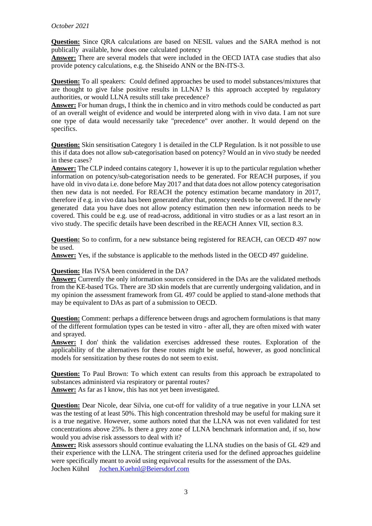#### *October 2021*

**Question:** Since QRA calculations are based on NESIL values and the SARA method is not publically available, how does one calculated potency

**Answer:** There are several models that were included in the OECD IATA case studies that also provide potency calculations, e.g. the Shiseido ANN or the BN-ITS-3.

**Question:** To all speakers: Could defined approaches be used to model substances/mixtures that are thought to give false positive results in LLNA? Is this approach accepted by regulatory authorities, or would LLNA results still take precedence?

**Answer:** For human drugs, I think the in chemico and in vitro methods could be conducted as part of an overall weight of evidence and would be interpreted along with in vivo data. I am not sure one type of data would necessarily take "precedence" over another. It would depend on the specifics.

**Question:** Skin sensitisation Category 1 is detailed in the CLP Regulation. Is it not possible to use this if data does not allow sub-categorisation based on potency? Would an in vivo study be needed in these cases?

**Answer:** The CLP indeed contains category 1, however it is up to the particular regulation whether information on potency/sub-categorisation needs to be generated. For REACH purposes, if you have old in vivo data i.e. done before May 2017 and that data does not allow potency categorisation then new data is not needed. For REACH the potency estimation became mandatory in 2017, therefore if e.g. in vivo data has been generated after that, potency needs to be covered. If the newly generated data you have does not allow potency estimation then new information needs to be covered. This could be e.g. use of read-across, additional in vitro studies or as a last resort an in vivo study. The specific details have been described in the REACH Annex VII, section 8.3.

**Question:** So to confirm, for a new substance being registered for REACH, can OECD 497 now be used.

**Answer:** Yes, if the substance is applicable to the methods listed in the OECD 497 guideline.

#### **Question:** Has IVSA been considered in the DA?

**Answer:** Currently the only information sources considered in the DAs are the validated methods from the KE-based TGs. There are 3D skin models that are currently undergoing validation, and in my opinion the assessment framework from GL 497 could be applied to stand-alone methods that may be equivalent to DAs as part of a submission to OECD.

**Question:** Comment: perhaps a difference between drugs and agrochem formulations is that many of the different formulation types can be tested in vitro - after all, they are often mixed with water and sprayed.

**Answer:** I don' think the validation exercises addressed these routes. Exploration of the applicability of the alternatives for these routes might be useful, however, as good nonclinical models for sensitization by these routes do not seem to exist.

**Question:** To Paul Brown: To which extent can results from this approach be extrapolated to substances administerd via respiratory or parental routes?

**Answer:** As far as I know, this has not yet been investigated.

**Question:** Dear Nicole, dear Silvia, one cut-off for validity of a true negative in your LLNA set was the testing of at least 50%. This high concentration threshold may be useful for making sure it is a true negative. However, some authors noted that the LLNA was not even validated for test concentrations above 25%. Is there a grey zone of LLNA benchmark information and, if so, how would you advise risk assessors to deal with it?

**Answer:** Risk assessors should continue evaluating the LLNA studies on the basis of GL 429 and their experience with the LLNA. The stringent criteria used for the defined approaches guideline were specifically meant to avoid using equivocal results for the assessment of the DAs. Jochen Kühnl [Jochen.Kuehnl@Beiersdorf.com](mailto:Jochen.Kuehnl@Beiersdorf.com)